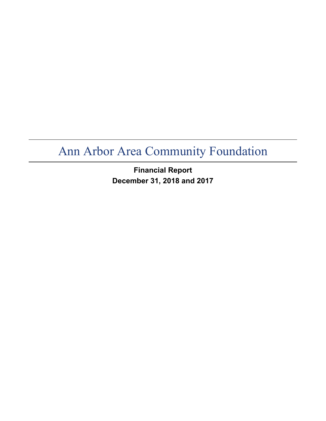**Financial Report December 31, 2018 and 2017**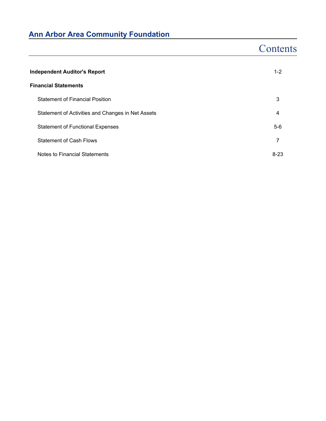# **Contents**

| <b>Independent Auditor's Report</b>               | $1 - 2$ |
|---------------------------------------------------|---------|
| <b>Financial Statements</b>                       |         |
| <b>Statement of Financial Position</b>            | 3       |
| Statement of Activities and Changes in Net Assets | 4       |
| <b>Statement of Functional Expenses</b>           | $5-6$   |
| <b>Statement of Cash Flows</b>                    | 7       |
| Notes to Financial Statements                     | $8-23$  |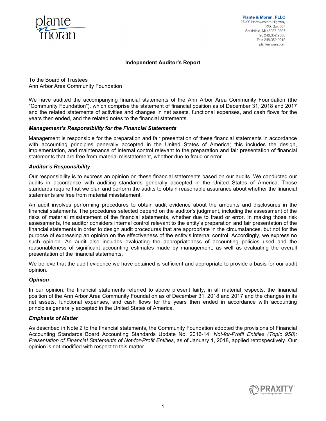

**Plante & Moran, PLLC** 27400 Northwestern Highway P.O. Box 307 Southfield, MI 48037-0307 Tel: 248.352.2500 Fax: 248.352.0018 plantemoran.com

#### **Independent Auditor's Report**

To the Board of Trustees Ann Arbor Area Community Foundation

We have audited the accompanying financial statements of the Ann Arbor Area Community Foundation (the "Community Foundation"), which comprise the statement of financial position as of December 31, 2018 and 2017 and the related statements of activities and changes in net assets, functional expenses, and cash flows for the years then ended, and the related notes to the financial statements.

#### *Management's Responsibility for the Financial Statements*

Management is responsible for the preparation and fair presentation of these financial statements in accordance with accounting principles generally accepted in the United States of America; this includes the design, implementation, and maintenance of internal control relevant to the preparation and fair presentation of financial statements that are free from material misstatement, whether due to fraud or error.

#### *Auditor's Responsibility*

Our responsibility is to express an opinion on these financial statements based on our audits. We conducted our audits in accordance with auditing standards generally accepted in the United States of America. Those standards require that we plan and perform the audits to obtain reasonable assurance about whether the financial statements are free from material misstatement.

An audit involves performing procedures to obtain audit evidence about the amounts and disclosures in the financial statements. The procedures selected depend on the auditor's judgment, including the assessment of the risks of material misstatement of the financial statements, whether due to fraud or error. In making those risk assessments, the auditor considers internal control relevant to the entity's preparation and fair presentation of the financial statements in order to design audit procedures that are appropriate in the circumstances, but not for the purpose of expressing an opinion on the effectiveness of the entity's internal control. Accordingly, we express no such opinion. An audit also includes evaluating the appropriateness of accounting policies used and the reasonableness of significant accounting estimates made by management, as well as evaluating the overall presentation of the financial statements.

We believe that the audit evidence we have obtained is sufficient and appropriate to provide a basis for our audit opinion.

#### *Opinion*

In our opinion, the financial statements referred to above present fairly, in all material respects, the financial position of the Ann Arbor Area Community Foundation as of December 31, 2018 and 2017 and the changes in its net assets, functional expenses, and cash flows for the years then ended in accordance with accounting principles generally accepted in the United States of America.

#### *Emphasis of Matter*

As described in Note 2 to the financial statements, the Community Foundation adopted the provisions of Financial Accounting Standards Board Accounting Standards Update No. 2016-14, *Not-for-Profit Entities (Topic 958): Presentation of Financial Statements of Not-for-Profit Entities*, as of January 1, 2018, applied retrospectively. Our opinion is not modified with respect to this matter.

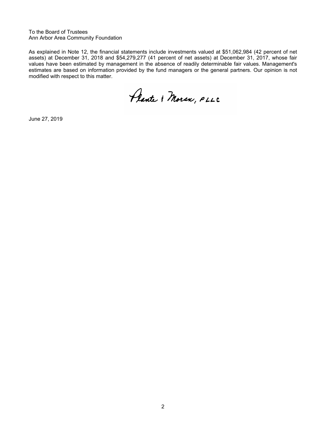To the Board of Trustees Ann Arbor Area Community Foundation

As explained in Note 12, the financial statements include investments valued at \$51,062,984 (42 percent of net assets) at December 31, 2018 and \$54,279,277 (41 percent of net assets) at December 31, 2017, whose fair values have been estimated by management in the absence of readily determinable fair values. Management's estimates are based on information provided by the fund managers or the general partners. Our opinion is not modified with respect to this matter.

Plante & Moran, PLLC

June 27, 2019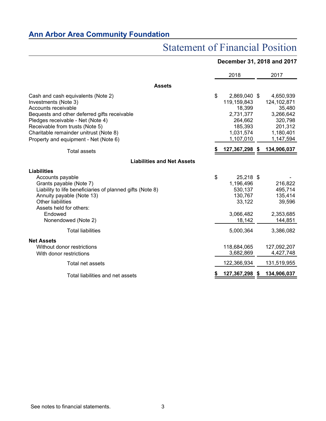# Statement of Financial Position

### **December 31, 2018 and 2017**

|                                                                                                                                                                                                                                                                                              |    | 2018                                                                                               |    | 2017                                                                                              |
|----------------------------------------------------------------------------------------------------------------------------------------------------------------------------------------------------------------------------------------------------------------------------------------------|----|----------------------------------------------------------------------------------------------------|----|---------------------------------------------------------------------------------------------------|
| <b>Assets</b>                                                                                                                                                                                                                                                                                |    |                                                                                                    |    |                                                                                                   |
| Cash and cash equivalents (Note 2)<br>Investments (Note 3)<br>Accounts receivable<br>Bequests and other deferred gifts receivable<br>Pledges receivable - Net (Note 4)<br>Receivable from trusts (Note 5)<br>Charitable remainder unitrust (Note 8)<br>Property and equipment - Net (Note 6) | \$ | 2,869,040 \$<br>119,159,843<br>18,399<br>2,731,377<br>264,662<br>185,393<br>1,031,574<br>1,107,010 |    | 4,650,939<br>124, 102, 871<br>35,480<br>3,266,642<br>320,798<br>201,312<br>1,180,401<br>1,147,594 |
| <b>Total assets</b>                                                                                                                                                                                                                                                                          |    | 127,367,298 \$                                                                                     |    | 134,906,037                                                                                       |
| <b>Liabilities and Net Assets</b>                                                                                                                                                                                                                                                            |    |                                                                                                    |    |                                                                                                   |
| Liabilities<br>Accounts payable<br>Grants payable (Note 7)<br>Liability to life beneficiaries of planned gifts (Note 8)<br>Annuity payable (Note 13)<br><b>Other liabilities</b><br>Assets held for others:<br>Endowed<br>Nonendowed (Note 2)                                                | \$ | 25,218 \$<br>1,196,496<br>530,137<br>130,767<br>33,122<br>3,066,482<br>18,142                      |    | 216,822<br>495,714<br>135,414<br>39,596<br>2,353,685<br>144,851                                   |
| <b>Total liabilities</b>                                                                                                                                                                                                                                                                     |    | 5,000,364                                                                                          |    | 3,386,082                                                                                         |
| <b>Net Assets</b><br>Without donor restrictions<br>With donor restrictions<br>Total net assets                                                                                                                                                                                               |    | 118.684.065<br>3,682,869<br>122,366,934                                                            |    | 127,092,207<br>4,427,748<br>131,519,955                                                           |
| Total liabilities and net assets                                                                                                                                                                                                                                                             |    | 127,367,298                                                                                        | æ. | 134,906,037                                                                                       |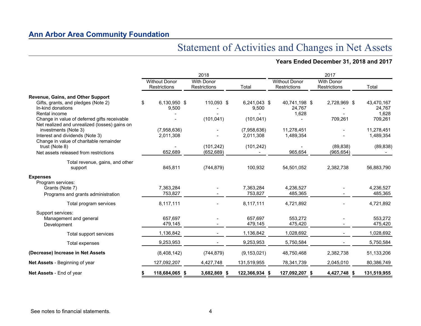# Statement of Activities and Changes in Net Assets

### **Years Ended December 31, 2018 and 2017**

|                                                                                                    |                                             | 2018                              |                          | 2017                                 |                                   |                               |  |
|----------------------------------------------------------------------------------------------------|---------------------------------------------|-----------------------------------|--------------------------|--------------------------------------|-----------------------------------|-------------------------------|--|
|                                                                                                    | <b>Without Donor</b><br><b>Restrictions</b> | <b>With Donor</b><br>Restrictions | Total                    | <b>Without Donor</b><br>Restrictions | <b>With Donor</b><br>Restrictions | Total                         |  |
| Revenue, Gains, and Other Support                                                                  |                                             |                                   |                          |                                      |                                   |                               |  |
| Gifts, grants, and pledges (Note 2)<br>In-kind donations<br>Rental income                          | \$<br>6,130,950 \$<br>9,500                 | 110,093 \$                        | 6,241,043 \$<br>9,500    | 40,741,198 \$<br>24,767<br>1,628     | 2,728,969 \$                      | 43,470,167<br>24,767<br>1,628 |  |
| Change in value of deferred gifts receivable<br>Net realized and unrealized (losses) gains on      |                                             | (101, 041)                        | (101, 041)               |                                      | 709,261                           | 709,261                       |  |
| investments (Note 3)<br>Interest and dividends (Note 3)<br>Change in value of charitable remainder | (7,958,636)<br>2,011,308                    |                                   | (7,958,636)<br>2,011,308 | 11,278,451<br>1,489,354              |                                   | 11,278,451<br>1,489,354       |  |
| trust (Note 8)<br>Net assets released from restrictions                                            | 652.689                                     | (101, 242)<br>(652, 689)          | (101, 242)               | 965,654                              | (89, 838)<br>(965, 654)           | (89, 838)                     |  |
| Total revenue, gains, and other<br>support                                                         | 845,811                                     | (744, 879)                        | 100,932                  | 54,501,052                           | 2,382,738                         | 56,883,790                    |  |
| <b>Expenses</b><br>Program services:<br>Grants (Note 7)<br>Programs and grants administration      | 7,363,284<br>753,827                        |                                   | 7,363,284<br>753,827     | 4,236,527<br>485,365                 |                                   | 4,236,527<br>485,365          |  |
| Total program services                                                                             | 8,117,111                                   |                                   | 8,117,111                | 4,721,892                            |                                   | 4,721,892                     |  |
| Support services:<br>Management and general<br>Development                                         | 657.697<br>479,145                          |                                   | 657.697<br>479,145       | 553.272<br>475,420                   |                                   | 553.272<br>475,420            |  |
| Total support services                                                                             | 1,136,842                                   |                                   | 1,136,842                | 1,028,692                            |                                   | 1,028,692                     |  |
| Total expenses                                                                                     | 9,253,953                                   |                                   | 9,253,953                | 5,750,584                            |                                   | 5,750,584                     |  |
| (Decrease) Increase in Net Assets                                                                  | (8,408,142)                                 | (744, 879)                        | (9, 153, 021)            | 48,750,468                           | 2,382,738                         | 51,133,206                    |  |
| <b>Net Assets</b> - Beginning of year                                                              | 127,092,207                                 | 4,427,748                         | 131,519,955              | 78,341,739                           | 2,045,010                         | 80,386,749                    |  |
| <b>Net Assets - End of year</b>                                                                    | 118,684,065 \$                              | 3,682,869 \$                      | 122,366,934 \$           | 127,092,207 \$                       | 4,427,748 \$                      | 131,519,955                   |  |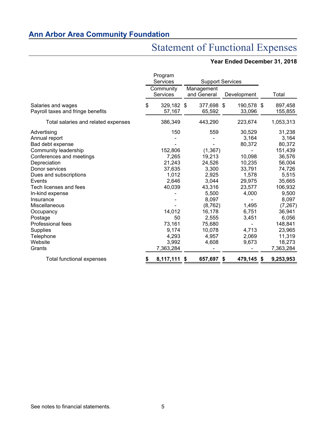# Statement of Functional Expenses

### **Year Ended December 31, 2018**

|                                     | Program<br>Services |            | <b>Support Services</b> |    |             |                 |
|-------------------------------------|---------------------|------------|-------------------------|----|-------------|-----------------|
|                                     | Community           | Management |                         |    |             |                 |
|                                     | <b>Services</b>     |            | and General             |    | Development | Total           |
| Salaries and wages                  | \$<br>329,182 \$    |            | 377,698 \$              |    | 190,578 \$  | 897,458         |
| Payroll taxes and fringe benefits   | 57,167              |            | 65,592                  |    | 33,096      | 155,855         |
| Total salaries and related expenses | 386,349             |            | 443,290                 |    | 223,674     | 1,053,313       |
| Advertising                         | 150                 |            | 559                     |    | 30,529      | 31,238          |
| Annual report                       |                     |            |                         |    | 3,164       | 3,164           |
| Bad debt expense                    |                     |            |                         |    | 80,372      | 80,372          |
| Community leadership                | 152,806             |            | (1, 367)                |    |             | 151,439         |
| Conferences and meetings            | 7,265               |            | 19,213                  |    | 10,098      | 36,576          |
| Depreciation                        | 21,243              |            | 24,526                  |    | 10,235      | 56,004          |
| Donor services                      | 37,635              |            | 3,300                   |    | 33,791      | 74,726          |
| Dues and subscriptions              | 1,012               |            | 2,925                   |    | 1,578       | 5,515           |
| Events                              | 2,646               |            | 3,044                   |    | 29,975      | 35,665          |
| Tech licenses and fees              | 40,039              |            | 43,316                  |    | 23,577      | 106,932         |
| In-kind expense                     |                     |            | 5,500                   |    | 4,000       | 9,500           |
| Insurance                           |                     |            | 8,097                   |    |             | 8,097           |
| Miscellaneous                       |                     |            | (8, 762)                |    | 1,495       | (7, 267)        |
| Occupancy                           | 14,012              |            | 16,178                  |    | 6,751       | 36,941          |
| Postage                             | 50                  |            | 2,555                   |    | 3,451       | 6,056           |
| <b>Professional fees</b>            | 73,161              |            | 75,680                  |    |             | 148,841         |
| Supplies                            | 9,174               |            | 10,078                  |    | 4,713       | 23,965          |
| Telephone                           | 4,293               |            | 4,957                   |    | 2,069       | 11,319          |
| Website                             | 3,992               |            | 4,608                   |    | 9,673       | 18,273          |
| Grants                              | 7,363,284           |            |                         |    |             | 7,363,284       |
| Total functional expenses           | 8,117,111           |            | 657,697                 | \$ | 479,145     | \$<br>9,253,953 |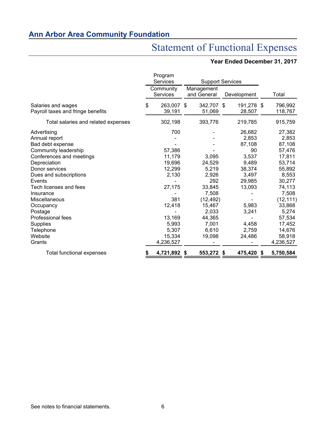# Statement of Functional Expenses

### **Year Ended December 31, 2017**

|                                                         | Program<br><b>Services</b> |      | <b>Support Services</b>   |   |                      |                    |
|---------------------------------------------------------|----------------------------|------|---------------------------|---|----------------------|--------------------|
|                                                         | Community<br>Services      |      | Management<br>and General |   | Development          | Total              |
| Salaries and wages<br>Payroll taxes and fringe benefits | \$<br>263,007 \$<br>39,191 |      | 342,707 \$<br>51,069      |   | 191,278 \$<br>28,507 | 796,992<br>118,767 |
| Total salaries and related expenses                     | 302,198                    |      | 393,776                   |   | 219,785              | 915,759            |
| Advertising                                             | 700                        |      |                           |   | 26,682               | 27,382             |
| Annual report                                           |                            |      |                           |   | 2,853                | 2,853              |
| Bad debt expense                                        |                            |      |                           |   | 87,108               | 87,108             |
| Community leadership                                    | 57,386                     |      |                           |   | 90                   | 57,476             |
| Conferences and meetings                                | 11,179                     |      | 3.095                     |   | 3,537                | 17,811             |
| Depreciation                                            | 19,696                     |      | 24,529                    |   | 9,489                | 53,714             |
| Donor services                                          | 12,299                     |      | 5,219                     |   | 38,374               | 55,892             |
| Dues and subscriptions                                  | 2,130                      |      | 2,926                     |   | 3,497                | 8,553              |
| Events                                                  |                            |      | 292                       |   | 29,985               | 30,277             |
| Tech licenses and fees                                  | 27,175                     |      | 33,845                    |   | 13,093               | 74,113             |
| Insurance                                               |                            |      | 7,508                     |   |                      | 7,508              |
| Miscellaneous                                           | 381                        |      | (12, 492)                 |   |                      | (12, 111)          |
| Occupancy                                               | 12,418                     |      | 15,467                    |   | 5,983                | 33,868             |
| Postage                                                 |                            |      | 2,033                     |   | 3,241                | 5,274              |
| <b>Professional fees</b>                                | 13,169                     |      | 44,365                    |   |                      | 57,534             |
| Supplies                                                | 5,993                      |      | 7,001                     |   | 4,458                | 17,452             |
| Telephone                                               | 5,307                      |      | 6,610                     |   | 2,759                | 14,676             |
| Website                                                 | 15,334                     |      | 19,098                    |   | 24,486               | 58,918             |
| Grants                                                  | 4,236,527                  |      |                           |   |                      | 4,236,527          |
| Total functional expenses                               | 4,721,892                  | - \$ | 553,272                   | 5 | 475,420              | 5,750,584          |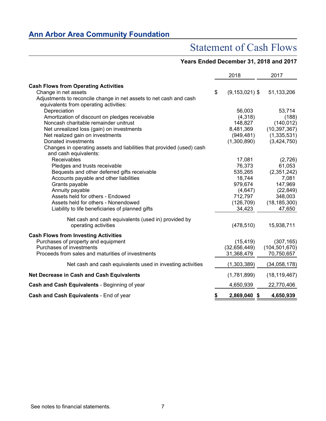# Statement of Cash Flows

### **Years Ended December 31, 2018 and 2017**

|                                                                       | 2018                     | 2017            |
|-----------------------------------------------------------------------|--------------------------|-----------------|
| <b>Cash Flows from Operating Activities</b>                           |                          |                 |
| Change in net assets                                                  | \$<br>$(9, 153, 021)$ \$ | 51,133,206      |
| Adjustments to reconcile change in net assets to net cash and cash    |                          |                 |
| equivalents from operating activities:                                |                          |                 |
| Depreciation                                                          | 56,003                   | 53,714          |
| Amortization of discount on pledges receivable                        | (4,318)                  | (188)           |
| Noncash charitable remainder unitrust                                 | 148,827                  | (140, 012)      |
| Net unrealized loss (gain) on investments                             | 8,481,369                | (10, 397, 367)  |
| Net realized gain on investments                                      | (949, 481)               | (1, 335, 531)   |
| Donated investments                                                   | (1,300,890)              | (3,424,750)     |
| Changes in operating assets and liabilities that provided (used) cash |                          |                 |
| and cash equivalents:                                                 |                          |                 |
| Receivables                                                           | 17,081                   | (2,726)         |
| Pledges and trusts receivable                                         | 76,373                   | 61,053          |
| Bequests and other deferred gifts receivable                          | 535,265                  | (2,351,242)     |
| Accounts payable and other liabilities                                | 18,744                   | 7,081           |
| Grants payable                                                        | 979,674                  | 147,969         |
| Annuity payable                                                       | (4,647)                  | (22, 849)       |
| Assets held for others - Endowed                                      | 712,797                  | 348,003         |
| Assets held for others - Nonendowed                                   | (126, 709)               | (18, 185, 300)  |
| Liability to life beneficiaries of planned gifts                      | 34,423                   | 47,650          |
| Net cash and cash equivalents (used in) provided by                   |                          |                 |
| operating activities                                                  | (478, 510)               | 15,938,711      |
| <b>Cash Flows from Investing Activities</b>                           |                          |                 |
| Purchases of property and equipment                                   | (15, 419)                | (307, 165)      |
| Purchases of investments                                              | (32,656,449)             | (104, 501, 670) |
| Proceeds from sales and maturities of investments                     | 31,368,479               | 70,750,657      |
| Net cash and cash equivalents used in investing activities            | (1,303,389)              | (34,058,178)    |
| <b>Net Decrease in Cash and Cash Equivalents</b>                      | (1,781,899)              | (18, 119, 467)  |
| Cash and Cash Equivalents - Beginning of year                         | 4,650,939                | 22,770,406      |
| Cash and Cash Equivalents - End of year                               | \$<br>2,869,040 \$       | 4,650,939       |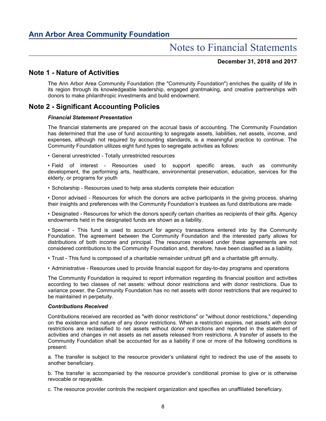#### **December 31, 2018 and 2017**

### **Note 1 - Nature of Activities**

The Ann Arbor Area Community Foundation (the "Community Foundation") enriches the quality of life in its region through its knowledgeable leadership, engaged grantmaking, and creative partnerships with donors to make philanthropic investments and build endowment.

### **Note 2 - Significant Accounting Policies**

#### *Financial Statement Presentation*

The financial statements are prepared on the accrual basis of accounting. The Community Foundation has determined that the use of fund accounting to segregate assets, liabilities, net assets, income, and expenses, although not required by accounting standards, is a meaningful practice to continue. The Community Foundation utilizes eight fund types to segregate activities as follows:

• General unrestricted - Totally unrestricted resources

• Field of interest - Resources used to support specific areas, such as community development, the performing arts, healthcare, environmental preservation, education, services for the elderly, or programs for youth

• Scholarship - Resources used to help area students complete their education

• Donor advised - Resources for which the donors are active participants in the giving process, sharing their insights and preferences with the Community Foundation's trustees as fund distributions are made

• Designated - Resources for which the donors specify certain charities as recipients of their gifts. Agency endowments held in the designated funds are shown as a liability.

• Special - This fund is used to account for agency transactions entered into by the Community Foundation. The agreement between the Community Foundation and the interested party allows for distributions of both income and principal. The resources received under these agreements are not considered contributions to the Community Foundation and, therefore, have been classified as a liability.

• Trust - This fund is composed of a charitable remainder unitrust gift and a charitable gift annuity.

• Administrative - Resources used to provide financial support for day-to-day programs and operations

The Community Foundation is required to report information regarding its financial position and activities according to two classes of net assets: without donor restrictions and with donor restrictions. Due to variance power, the Community Foundation has no net assets with donor restrictions that are required to be maintained in perpetuity.

#### *Contributions Received*

Contributions received are recorded as "with donor restrictions" or "without donor restrictions," depending on the existence and nature of any donor restrictions. When a restriction expires, net assets with donor restrictions are reclassified to net assets without donor restrictions and reported in the statement of activities and changes in net assets as net assets released from restrictions. A transfer of assets to the Community Foundation shall be accounted for as a liability if one or more of the following conditions is present:

a. The transfer is subject to the resource provider's unilateral right to redirect the use of the assets to another beneficiary.

b. The transfer is accompanied by the resource provider's conditional promise to give or is otherwise revocable or repayable.

c. The resource provider controls the recipient organization and specifies an unaffiliated beneficiary.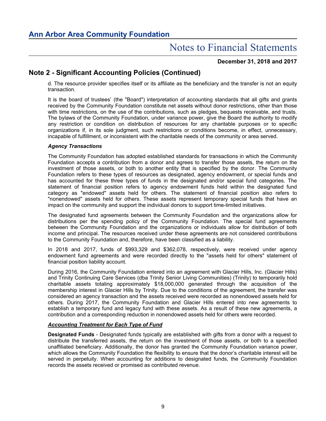**December 31, 2018 and 2017**

# **Note 2 - Significant Accounting Policies (Continued)**

d. The resource provider specifies itself or its affiliate as the beneficiary and the transfer is not an equity transaction.

It is the board of trustees' (the "Board") interpretation of accounting standards that all gifts and grants received by the Community Foundation constitute net assets without donor restrictions, other than those with time restrictions, on the use of the contributions, such as pledges, bequests receivable, and trusts. The bylaws of the Community Foundation, under variance power, give the Board the authority to modify any restriction or condition on distribution of resources for any charitable purposes or to specific organizations if, in its sole judgment, such restrictions or conditions become, in effect, unnecessary, incapable of fulfillment, or inconsistent with the charitable needs of the community or area served.

#### *Agency Transactions*

The Community Foundation has adopted established standards for transactions in which the Community Foundation accepts a contribution from a donor and agrees to transfer those assets, the return on the investment of those assets, or both to another entity that is specified by the donor. The Community Foundation refers to these types of resources as designated, agency endowment, or special funds and has accounted for these three types of funds in the designated and/or special fund categories. The statement of financial position refers to agency endowment funds held within the designated fund category as "endowed" assets held for others. The statement of financial position also refers to "nonendowed" assets held for others. These assets represent temporary special funds that have an impact on the community and support the individual donors to support time-limited initiatives.

The designated fund agreements between the Community Foundation and the organizations allow for distributions per the spending policy of the Community Foundation. The special fund agreements between the Community Foundation and the organizations or individuals allow for distribution of both income and principal. The resources received under these agreements are not considered contributions to the Community Foundation and, therefore, have been classified as a liability.

In 2018 and 2017, funds of \$993,329 and \$362,078, respectively, were received under agency endowment fund agreements and were recorded directly to the "assets held for others" statement of financial position liability account.

During 2016, the Community Foundation entered into an agreement with Glacier Hills, Inc. (Glacier Hills) and Trinity Continuing Care Services (dba Trinity Senior Living Communities) (Trinity) to temporarily hold charitable assets totaling approximately \$18,000,000 generated through the acquisition of the membership interest in Glacier Hills by Trinity. Due to the conditions of the agreement, the transfer was considered an agency transaction and the assets received were recorded as nonendowed assets held for others. During 2017, the Community Foundation and Glacier Hills entered into new agreements to establish a temporary fund and legacy fund with these assets. As a result of these new agreements, a contribution and a corresponding reduction in nonendowed assets held for others were recorded.

#### *Accounting Treatment for Each Type of Fund*

**Designated Funds** - Designated funds typically are established with gifts from a donor with a request to distribute the transferred assets, the return on the investment of those assets, or both to a specified unaffiliated beneficiary. Additionally, the donor has granted the Community Foundation variance power, which allows the Community Foundation the flexibility to ensure that the donor's charitable interest will be served in perpetuity. When accounting for additions to designated funds, the Community Foundation records the assets received or promised as contributed revenue.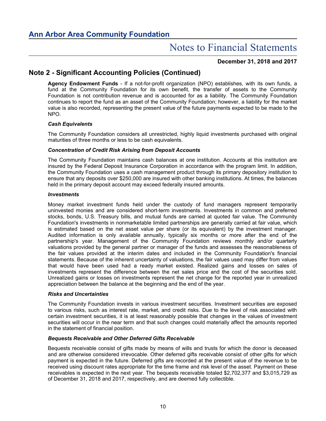#### **December 31, 2018 and 2017**

# **Note 2 - Significant Accounting Policies (Continued)**

**Agency Endowment Funds** - If a not-for-profit organization (NPO) establishes, with its own funds, a fund at the Community Foundation for its own benefit, the transfer of assets to the Community Foundation is not contribution revenue and is accounted for as a liability. The Community Foundation continues to report the fund as an asset of the Community Foundation; however, a liability for the market value is also recorded, representing the present value of the future payments expected to be made to the NPO.

#### *Cash Equivalents*

The Community Foundation considers all unrestricted, highly liquid investments purchased with original maturities of three months or less to be cash equivalents.

#### *Concentration of Credit Risk Arising from Deposit Accounts*

The Community Foundation maintains cash balances at one institution. Accounts at this institution are insured by the Federal Deposit Insurance Corporation in accordance with the program limit. In addition, the Community Foundation uses a cash management product through its primary depository institution to ensure that any deposits over \$250,000 are insured with other banking institutions. At times, the balances held in the primary deposit account may exceed federally insured amounts.

#### *Investments*

Money market investment funds held under the custody of fund managers represent temporarily uninvested monies and are considered short-term investments. Investments in common and preferred stocks, bonds, U.S. Treasury bills, and mutual funds are carried at quoted fair value. The Community Foundation's investments in nonmarketable limited partnerships are generally carried at fair value, which is estimated based on the net asset value per share (or its equivalent) by the investment manager. Audited information is only available annually, typically six months or more after the end of the partnership's year. Management of the Community Foundation reviews monthly and/or quarterly valuations provided by the general partner or manager of the funds and assesses the reasonableness of the fair values provided at the interim dates and included in the Community Foundation's financial statements. Because of the inherent uncertainty of valuations, the fair values used may differ from values that would have been used had a ready market existed. Realized gains and losses on sales of investments represent the difference between the net sales price and the cost of the securities sold. Unrealized gains or losses on investments represent the net change for the reported year in unrealized appreciation between the balance at the beginning and the end of the year.

#### *Risks and Uncertainties*

The Community Foundation invests in various investment securities. Investment securities are exposed to various risks, such as interest rate, market, and credit risks. Due to the level of risk associated with certain investment securities, it is at least reasonably possible that changes in the values of investment securities will occur in the near term and that such changes could materially affect the amounts reported in the statement of financial position.

#### *Bequests Receivable and Other Deferred Gifts Receivable*

Bequests receivable consist of gifts made by means of wills and trusts for which the donor is deceased and are otherwise considered irrevocable. Other deferred gifts receivable consist of other gifts for which payment is expected in the future. Deferred gifts are recorded at the present value of the revenue to be received using discount rates appropriate for the time frame and risk level of the asset. Payment on these receivables is expected in the next year. The bequests receivable totaled \$2,702,377 and \$3,015,729 as of December 31, 2018 and 2017, respectively, and are deemed fully collectible.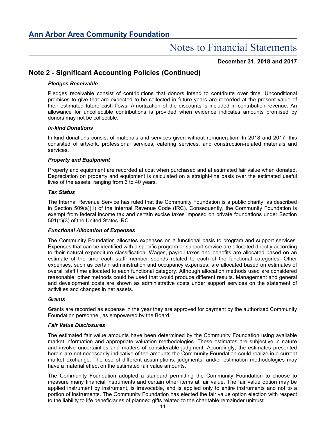**December 31, 2018 and 2017**

### **Note 2 - Significant Accounting Policies (Continued)**

#### *Pledges Receivable*

Pledges receivable consist of contributions that donors intend to contribute over time. Unconditional promises to give that are expected to be collected in future years are recorded at the present value of their estimated future cash flows. Amortization of the discounts is included in contribution revenue. An allowance for uncollectible contributions is provided when evidence indicates amounts promised by donors may not be collectible.

#### *In-kind Donations*

In-kind donations consist of materials and services given without remuneration. In 2018 and 2017, this consisted of artwork, professional services, catering services, and construction-related materials and services.

#### *Property and Equipment*

Property and equipment are recorded at cost when purchased and at estimated fair value when donated. Depreciation on property and equipment is calculated on a straight-line basis over the estimated useful lives of the assets, ranging from 3 to 40 years.

#### *Tax Status*

The Internal Revenue Service has ruled that the Community Foundation is a public charity, as described in Section 509(a)(1) of the Internal Revenue Code (IRC). Consequently, the Community Foundation is exempt from federal income tax and certain excise taxes imposed on private foundations under Section 501(c)(3) of the United States IRC.

#### *Functional Allocation of Expenses*

The Community Foundation allocates expenses on a functional basis to program and support services. Expenses that can be identified with a specific program or support service are allocated directly according to their natural expenditure classification. Wages, payroll taxes and benefits are allocated based on an estimate of the time each staff member spends related to each of the functional categories. Other expenses, such as certain administration and occupancy expenses, are allocated based on estimates of overall staff time allocated to each functional category. Although allocation methods used are considered reasonable, other methods could be used that would produce different results. Management and general and development costs are shown as administrative costs under support services on the statement of activities and changes in net assets.

#### *Grants*

Grants are recorded as expense in the year they are approved for payment by the authorized Community Foundation personnel, as empowered by the Board.

#### *Fair Value Disclosures*

The estimated fair value amounts have been determined by the Community Foundation using available market information and appropriate valuation methodologies. These estimates are subjective in nature and involve uncertainties and matters of considerable judgment. Accordingly, the estimates presented herein are not necessarily indicative of the amounts the Community Foundation could realize in a current market exchange. The use of different assumptions, judgments, and/or estimation methodologies may have a material effect on the estimated fair value amounts.

The Community Foundation adopted a standard permitting the Community Foundation to choose to measure many financial instruments and certain other items at fair value. The fair value option may be applied instrument by instrument, is irrevocable, and is applied only to entire instruments and not to a portion of instruments. The Community Foundation has elected the fair value option election with respect to the liability to life beneficiaries of planned gifts related to the charitable remainder unitrust.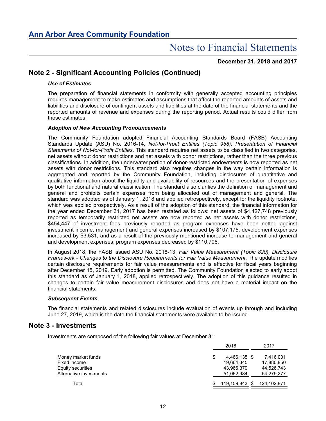**December 31, 2018 and 2017**

# **Note 2 - Significant Accounting Policies (Continued)**

#### *Use of Estimates*

The preparation of financial statements in conformity with generally accepted accounting principles requires management to make estimates and assumptions that affect the reported amounts of assets and liabilities and disclosure of contingent assets and liabilities at the date of the financial statements and the reported amounts of revenue and expenses during the reporting period. Actual results could differ from those estimates.

#### *Adoption of New Accounting Pronouncements*

The Community Foundation adopted Financial Accounting Standards Board (FASB) Accounting Standards Update (ASU) No. 2016-14, *Not-for-Profit Entities (Topic 958): Presentation of Financial Statements of Not-for-Profit Entities*. This standard requires net assets to be classified in two categories, net assets without donor restrictions and net assets with donor restrictions, rather than the three previous classifications. In addition, the underwater portion of donor-restricted endowments is now reported as net assets with donor restrictions. This standard also requires changes in the way certain information is aggregated and reported by the Community Foundation, including disclosures of quantitative and qualitative information about the liquidity and availability of resources and the presentation of expenses by both functional and natural classification. The standard also clarifies the definition of management and general and prohibits certain expenses from being allocated out of management and general. The standard was adopted as of January 1, 2018 and applied retrospectively, except for the liquidity footnote, which was applied prospectively. As a result of the adoption of this standard, the financial information for the year ended December 31, 2017 has been restated as follows: net assets of \$4,427,748 previously reported as temporarily restricted net assets are now reported as net assets with donor restrictions, \$454,447 of investment fees previously reported as program expenses have been netted against investment income, management and general expenses increased by \$107,175, development expenses increased by \$3,531, and as a result of the previously mentioned increase to management and general and development expenses, program expenses decreased by \$110,706.

In August 2018, the FASB issued ASU No. 2018-13, *Fair Value Measurement (Topic 820), Disclosure Framework - Changes to the Disclosure Requirements for Fair Value Measurement*. The update modifies certain disclosure requirements for fair value measurements and is effective for fiscal years beginning after December 15, 2019. Early adoption is permitted. The Community Foundation elected to early adopt this standard as of January 1, 2018, applied retrospectively. The adoption of this guidance resulted in changes to certain fair value measurement disclosures and does not have a material impact on the financial statements.

#### *Subsequent Events*

The financial statements and related disclosures include evaluation of events up through and including June 27, 2019, which is the date the financial statements were available to be issued.

### **Note 3 - Investments**

Investments are composed of the following fair values at December 31:

|                         | 2018         |    | 2017        |
|-------------------------|--------------|----|-------------|
| Money market funds      | 4,466,135 \$ |    | 7,416,001   |
| Fixed income            | 19.664.345   |    | 17,880,850  |
| Equity securities       | 43,966,379   |    | 44,526,743  |
| Alternative investments | 51,062,984   |    | 54,279,277  |
| Total                   | 119.159.843  | -S | 124,102,871 |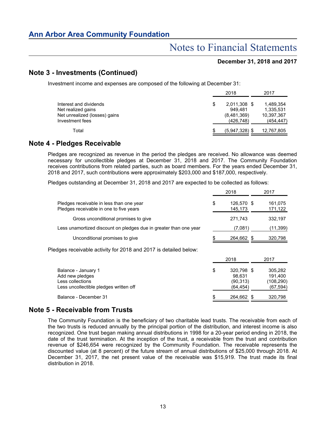#### **December 31, 2018 and 2017**

## **Note 3 - Investments (Continued)**

Investment income and expenses are composed of the following at December 31:

|                               | 2018               | 2017       |
|-------------------------------|--------------------|------------|
| Interest and dividends        | \$<br>2,011,308 \$ | 1,489,354  |
| Net realized gains            | 949.481            | 1,335,531  |
| Net unrealized (losses) gains | (8,481,369)        | 10,397,367 |
| Investment fees               | (426,748)          | (454, 447) |
| Total                         | $(5,947,328)$ \$   | 12,767,805 |
|                               |                    |            |

### **Note 4 - Pledges Receivable**

Pledges are recognized as revenue in the period the pledges are received. No allowance was deemed necessary for uncollectible pledges at December 31, 2018 and 2017. The Community Foundation receives contributions from related parties, such as board members. For the years ended December 31, 2018 and 2017, such contributions were approximately \$203,000 and \$187,000, respectively.

Pledges outstanding at December 31, 2018 and 2017 are expected to be collected as follows:

|                                                                                                      | 2018                                                 | 2017                                         |
|------------------------------------------------------------------------------------------------------|------------------------------------------------------|----------------------------------------------|
| Pledges receivable in less than one year<br>Pledges receivable in one to five years                  | \$<br>126.570 \$<br>145.173                          | 161,075<br>171,122                           |
| Gross unconditional promises to give                                                                 | 271,743                                              | 332,197                                      |
| Less unamortized discount on pledges due in greater than one year                                    | (7,081)                                              | (11,399)                                     |
| Unconditional promises to give                                                                       | 264,662 \$                                           | 320,798                                      |
| Pledges receivable activity for 2018 and 2017 is detailed below:                                     |                                                      |                                              |
|                                                                                                      | 2018                                                 | 2017                                         |
| Balance - January 1<br>Add new pledges<br>Less collections<br>Less uncollectible pledges written off | \$<br>320.798 \$<br>98.631<br>(90, 313)<br>(64, 454) | 305.282<br>191,400<br>(108,290)<br>(67, 594) |
| Balance - December 31                                                                                | 264.662 \$                                           | 320,798                                      |

### **Note 5 - Receivable from Trusts**

The Community Foundation is the beneficiary of two charitable lead trusts. The receivable from each of the two trusts is reduced annually by the principal portion of the distribution, and interest income is also recognized. One trust began making annual distributions in 1998 for a 20-year period ending in 2018, the date of the trust termination. At the inception of the trust, a receivable from the trust and contribution revenue of \$246,654 were recognized by the Community Foundation. The receivable represents the discounted value (at 8 percent) of the future stream of annual distributions of \$25,000 through 2018. At December 31, 2017, the net present value of the receivable was \$15,919. The trust made its final distribution in 2018.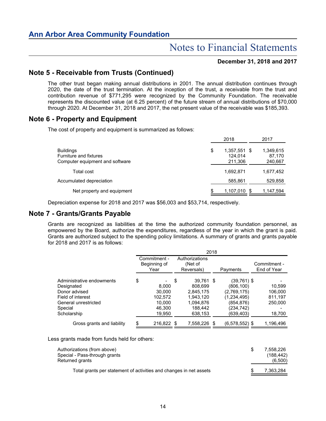#### **December 31, 2018 and 2017**

### **Note 5 - Receivable from Trusts (Continued)**

The other trust began making annual distributions in 2001. The annual distribution continues through 2020, the date of the trust termination. At the inception of the trust, a receivable from the trust and contribution revenue of \$771,295 were recognized by the Community Foundation. The receivable represents the discounted value (at 6.25 percent) of the future stream of annual distributions of \$70,000 through 2020. At December 31, 2018 and 2017, the net present value of the receivable was \$185,393.

### **Note 6 - Property and Equipment**

The cost of property and equipment is summarized as follows:

|                                                                               | 2018 |                                    |  | 2017                           |
|-------------------------------------------------------------------------------|------|------------------------------------|--|--------------------------------|
| <b>Buildings</b><br>Furniture and fixtures<br>Computer equipment and software | \$   | 1,357,551 \$<br>124.014<br>211,306 |  | 1,349,615<br>87,170<br>240,667 |
| Total cost                                                                    |      | 1,692,871                          |  | 1,677,452                      |
| Accumulated depreciation                                                      |      | 585,861                            |  | 529,858                        |
| Net property and equipment                                                    | \$   | 1,107,010 \$                       |  | 1,147,594                      |

Depreciation expense for 2018 and 2017 was \$56,003 and \$53,714, respectively.

### **Note 7 - Grants/Grants Payable**

Grants are recognized as liabilities at the time the authorized community foundation personnel, as empowered by the Board, authorize the expenditures, regardless of the year in which the grant is paid. Grants are authorized subject to the spending policy limitations. A summary of grants and grants payable for 2018 and 2017 is as follows:

|                                           | 2018 |                                         |                         |  |                             |                             |  |
|-------------------------------------------|------|-----------------------------------------|-------------------------|--|-----------------------------|-----------------------------|--|
| Commitment -<br>Beginning of<br>Year      |      | Authorizations<br>(Net of<br>Reversals) |                         |  | Payments                    | Commitment -<br>End of Year |  |
| Administrative endowments<br>Designated   | \$   | \$<br>8,000                             | 39,761 \$<br>808,699    |  | (39,761) \$<br>(806, 100)   | 10,599                      |  |
| Donor advised<br>Field of interest        |      | 30.000<br>102,572                       | 2.845.175<br>1,943,120  |  | (2,769,175)<br>(1,234,495)  | 106,000<br>811,197          |  |
| General unrestricted<br>Special           |      | 10.000<br>46,300                        | 1.094.876<br>188,442    |  | (854,876)<br>(234,742)      | 250,000                     |  |
| Scholarship<br>Gross grants and liability | \$.  | 19.950<br>216,822 \$                    | 638,153<br>7,558,226 \$ |  | (639,403)<br>(6,578,552) \$ | 18,700<br>1,196,496         |  |

Less grants made from funds held for others:

| Authorizations (from above).<br>Special - Pass-through grants<br>Returned grants | 7.558.226<br>(188, 442)<br>(6,500) |
|----------------------------------------------------------------------------------|------------------------------------|
| Total grants per statement of activities and changes in net assets               | 7.363.284                          |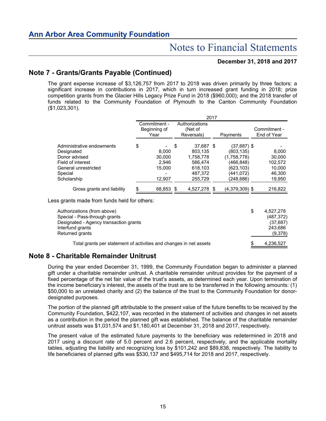#### **December 31, 2018 and 2017**

# **Note 7 - Grants/Grants Payable (Continued)**

The grant expense increase of \$3,126,757 from 2017 to 2018 was driven primarily by three factors: a significant increase in contributions in 2017, which in turn increased grant funding in 2018; prize competition grants from the Glacier Hills Legacy Prize Fund in 2018 (\$960,000); and the 2018 transfer of funds related to the Community Foundation of Plymouth to the Canton Community Foundation (\$1,023,301).

|                             | 2017                                 |                 |                                         |                      |  |                          |                             |                 |  |
|-----------------------------|--------------------------------------|-----------------|-----------------------------------------|----------------------|--|--------------------------|-----------------------------|-----------------|--|
|                             | Commitment -<br>Beginning of<br>Year |                 | Authorizations<br>(Net of<br>Reversals) |                      |  | Payments                 | Commitment -<br>End of Year |                 |  |
| Administrative endowments   | \$                                   |                 | \$                                      | 37,687 \$            |  | (37,687) \$              |                             |                 |  |
| Designated<br>Donor advised |                                      | 8.000<br>30,000 |                                         | 803.135<br>1,758,778 |  | (803.135)<br>(1,758,778) |                             | 8,000<br>30,000 |  |
| Field of interest           |                                      | 2.946           |                                         | 566.474              |  | (466,848)                |                             | 102,572         |  |
| General unrestricted        |                                      | 15.000          |                                         | 618.103              |  | (623.103)                |                             | 10,000          |  |
| Special                     |                                      |                 |                                         | 487.372              |  | (441,072)                |                             | 46,300          |  |
| Scholarship                 |                                      | 12,907          |                                         | 255.729              |  | (248,686)                |                             | 19,950          |  |
| Gross grants and liability  | \$                                   | 68,853 \$       |                                         | 4,527,278 \$         |  | (4,379,309) \$           |                             | 216,822         |  |

Less grants made from funds held for others:

| Authorizations (from above)                                        | 4,527,278  |
|--------------------------------------------------------------------|------------|
| Special - Pass-through grants                                      | (487, 372) |
| Designated - Agency transaction grants                             | (37,687)   |
| Interfund grants                                                   | 243.686    |
| Returned grants                                                    | (9,378)    |
| Total grants per statement of activities and changes in net assets | 4,236,527  |

## **Note 8 - Charitable Remainder Unitrust**

During the year ended December 31, 1999, the Community Foundation began to administer a planned gift under a charitable remainder unitrust. A charitable remainder unitrust provides for the payment of a fixed percentage of the net fair value of the trust's assets, as determined each year. Upon termination of the income beneficiary's interest, the assets of the trust are to be transferred in the following amounts: (1) \$50,000 to an unrelated charity and (2) the balance of the trust to the Community Foundation for donordesignated purposes.

The portion of the planned gift attributable to the present value of the future benefits to be received by the Community Foundation, \$422,107, was recorded in the statement of activities and changes in net assets as a contribution in the period the planned gift was established. The balance of the charitable remainder unitrust assets was \$1,031,574 and \$1,180,401 at December 31, 2018 and 2017, respectively.

The present value of the estimated future payments to the beneficiary was redetermined in 2018 and 2017 using a discount rate of 5.0 percent and 2.6 percent, respectively, and the applicable mortality tables, adjusting the liability and recognizing loss by \$101,242 and \$89,838, respectively. The liability to life beneficiaries of planned gifts was \$530,137 and \$495,714 for 2018 and 2017, respectively.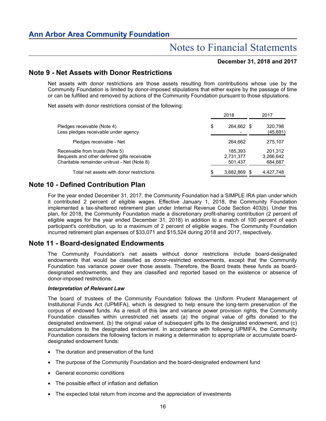#### **December 31, 2018 and 2017**

### **Note 9 - Net Assets with Donor Restrictions**

Net assets with donor restrictions are those assets resulting from contributions whose use by the Community Foundation is limited by donor-imposed stipulations that either expire by the passage of time or can be fulfilled and removed by actions of the Community Foundation pursuant to those stipulations.

Net assets with donor restrictions consist of the following:

|                                                                                                                                 |    | 2018                            | 2017 |                                 |  |
|---------------------------------------------------------------------------------------------------------------------------------|----|---------------------------------|------|---------------------------------|--|
| Pledges receivable (Note 4)<br>Less pledges receivable under agency                                                             | \$ | 264,662 \$                      |      | 320,798<br>(45,691)             |  |
| Pledges receivable - Net                                                                                                        |    | 264,662                         |      | 275,107                         |  |
| Receivable from trusts (Note 5)<br>Bequests and other deferred gifts receivable<br>Charitable remainder unitrust - Net (Note 8) |    | 185,393<br>2,731,377<br>501,437 |      | 201,312<br>3,266,642<br>684,687 |  |
| Total net assets with donor restrictions                                                                                        | S. | 3,682,869 \$                    |      | 4,427,748                       |  |

### **Note 10 - Defined Contribution Plan**

For the year ended December 31, 2017, the Community Foundation had a SIMPLE IRA plan under which it contributed 2 percent of eligible wages. Effective January 1, 2018, the Community Foundation implemented a tax-sheltered retirement plan under Internal Revenue Code Section 403(b). Under this plan, for 2018, the Community Foundation made a discretionary profit-sharing contribution (2 percent of eligible wages for the year ended December 31, 2018) in addition to a match of 100 percent of each participant's contribution, up to a maximum of 2 percent of eligible wages. The Community Foundation incurred retirement plan expenses of \$33,071 and \$15,524 during 2018 and 2017, respectively.

### **Note 11 - Board-designated Endowments**

The Community Foundation's net assets without donor restrictions include board-designated endowments that would be classified as donor-restricted endowments, except that the Community Foundation has variance power over those assets. Therefore, the Board treats these funds as boarddesignated endowments, and they are classified and reported based on the existence or absence of donor-imposed restrictions.

#### *Interpretation of Relevant Law*

The board of trustees of the Community Foundation follows the Uniform Prudent Management of Institutional Funds Act (UPMIFA), which is designed to help ensure the long-term preservation of the corpus of endowed funds. As a result of this law and variance power provision rights, the Community Foundation classifies within unrestricted net assets (a) the original value of gifts donated to the designated endowment, (b) the original value of subsequent gifts to the designated endowment, and (c) accumulations to the designated endowment. In accordance with following UPMIFA, the Community Foundation considers the following factors in making a determination to appropriate or accumulate boarddesignated endowment funds:

- The duration and preservation of the fund
- The purpose of the Community Foundation and the board-designated endowment fund
- General economic conditions
- The possible effect of inflation and deflation
- The expected total return from income and the appreciation of investments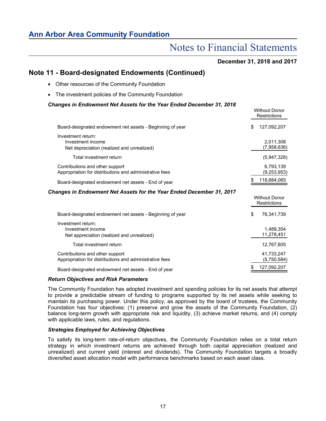# Notes to Financial Statements

#### **December 31, 2018 and 2017**

Without Donor

Without Donor

### **Note 11 - Board-designated Endowments (Continued)**

- Other resources of the Community Foundation
- The investment policies of the Community Foundation

#### *Changes in Endowment Net Assets for the Year Ended December 31, 2018*

|                                                                                            | Restrictions             |
|--------------------------------------------------------------------------------------------|--------------------------|
| Board-designated endowment net assets - Beginning of year                                  | \$<br>127,092,207        |
| Investment return:<br>Investment income<br>Net depreciation (realized and unrealized)      | 2,011,308<br>(7,958,636) |
| Total investment return                                                                    | (5,947,328)              |
| Contributions and other support<br>Appropriation for distributions and administrative fees | 6,793,139<br>(9,253,953) |
| Board-designated endowment net assets - End of year                                        | 118,684,065              |

#### *Changes in Endowment Net Assets for the Year Ended December 31, 2017*

|                                                                                            |   | Restrictions              |
|--------------------------------------------------------------------------------------------|---|---------------------------|
| Board-designated endowment net assets - Beginning of year                                  | S | 78,341,739                |
| Investment return:<br>Investment income<br>Net appreciation (realized and unrealized)      |   | 1,489,354<br>11,278,451   |
| Total investment return                                                                    |   | 12,767,805                |
| Contributions and other support<br>Appropriation for distributions and administrative fees |   | 41,733,247<br>(5,750,584) |
| Board-designated endowment net assets - End of year                                        |   | 127,092,207               |

#### *Return Objectives and Risk Parameters*

The Community Foundation has adopted investment and spending policies for its net assets that attempt to provide a predictable stream of funding to programs supported by its net assets while seeking to maintain its purchasing power. Under this policy, as approved by the board of trustees, the Community Foundation has four objectives: (1) preserve and grow the assets of the Community Foundation, (2) balance long-term growth with appropriate risk and liquidity, (3) achieve market returns, and (4) comply with applicable laws, rules, and regulations.

#### *Strategies Employed for Achieving Objectives*

To satisfy its long-term rate-of-return objectives, the Community Foundation relies on a total return strategy in which investment returns are achieved through both capital appreciation (realized and unrealized) and current yield (interest and dividends). The Community Foundation targets a broadly diversified asset allocation model with performance benchmarks based on each asset class.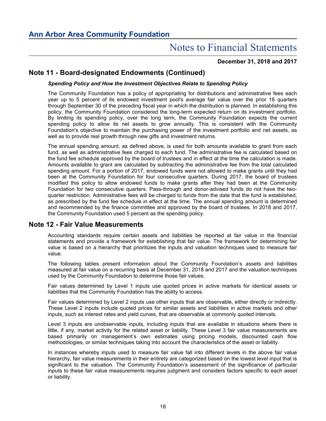**December 31, 2018 and 2017**

## **Note 11 - Board-designated Endowments (Continued)**

#### *Spending Policy and How the Investment Objectives Relate to Spending Policy*

The Community Foundation has a policy of appropriating for distributions and administrative fees each year up to 5 percent of its endowed investment pool's average fair value over the prior 16 quarters through September 30 of the preceding fiscal year in which the distribution is planned. In establishing this policy, the Community Foundation considered the long-term expected return on its investment portfolio. By limiting its spending policy, over the long term, the Community Foundation expects the current spending policy to allow its net assets to grow annually. This is consistent with the Community Foundation's objective to maintain the purchasing power of the investment portfolio and net assets, as well as to provide real growth through new gifts and investment returns.

The annual spending amount, as defined above, is used for both amounts available to grant from each fund, as well as administrative fees charged to each fund. The administrative fee is calculated based on the fund fee schedule approved by the board of trustees and in effect at the time the calculation is made. Amounts available to grant are calculated by subtracting the administrative fee from the total calculated spending amount. For a portion of 2017, endowed funds were not allowed to make grants until they had been at the Community Foundation for four consecutive quarters. During 2017, the board of trustees modified this policy to allow endowed funds to make grants after they had been at the Community Foundation for two consecutive quarters. Pass-through and donor-advised funds do not have the twoquarter restriction. Administrative fees will be charged to funds from the date that the fund is established, as prescribed by the fund fee schedule in effect at the time. The annual spending amount is determined and recommended by the finance committee and approved by the board of trustees. In 2018 and 2017, the Community Foundation used 5 percent as the spending policy.

### **Note 12 - Fair Value Measurements**

Accounting standards require certain assets and liabilities be reported at fair value in the financial statements and provide a framework for establishing that fair value. The framework for determining fair value is based on a hierarchy that prioritizes the inputs and valuation techniques used to measure fair value.

The following tables present information about the Community Foundation's assets and liabilities measured at fair value on a recurring basis at December 31, 2018 and 2017 and the valuation techniques used by the Community Foundation to determine those fair values.

Fair values determined by Level 1 inputs use quoted prices in active markets for identical assets or liabilities that the Community Foundation has the ability to access.

Fair values determined by Level 2 inputs use other inputs that are observable, either directly or indirectly. These Level 2 inputs include quoted prices for similar assets and liabilities in active markets and other inputs, such as interest rates and yield curves, that are observable at commonly quoted intervals.

Level 3 inputs are unobservable inputs, including inputs that are available in situations where there is little, if any, market activity for the related asset or liability. These Level 3 fair value measurements are based primarily on management's own estimates using pricing models, discounted cash flow methodologies, or similar techniques taking into account the characteristics of the asset or liability.

In instances whereby inputs used to measure fair value fall into different levels in the above fair value hierarchy, fair value measurements in their entirety are categorized based on the lowest level input that is significant to the valuation. The Community Foundation's assessment of the significance of particular inputs to these fair value measurements requires judgment and considers factors specific to each asset or liability.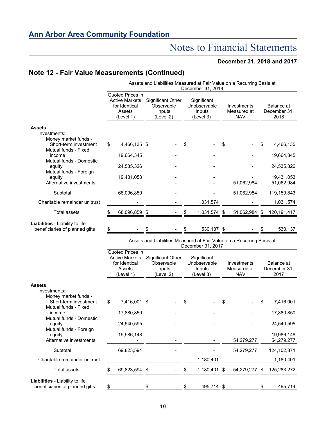### **December 31, 2018 and 2017**

# **Note 12 - Fair Value Measurements (Continued)**

|                                                                                       | Assets and Liabilities Measured at Fair Value on a Recurring Basis at<br>December 31, 2018 |                                                                                   |                                                        |                                                               |    |                                                    |      |                                          |      |                                    |
|---------------------------------------------------------------------------------------|--------------------------------------------------------------------------------------------|-----------------------------------------------------------------------------------|--------------------------------------------------------|---------------------------------------------------------------|----|----------------------------------------------------|------|------------------------------------------|------|------------------------------------|
|                                                                                       | Quoted Prices in<br><b>Active Markets</b><br>for Identical<br>Assets<br>(Level 1)          |                                                                                   | Significant Other<br>Observable<br>Inputs<br>(Level 2) |                                                               |    | Significant<br>Unobservable<br>Inputs<br>(Level 3) |      | Investments<br>Measured at<br><b>NAV</b> |      | Balance at<br>December 31,<br>2018 |
| Assets                                                                                |                                                                                            |                                                                                   |                                                        |                                                               |    |                                                    |      |                                          |      |                                    |
| Investments:<br>Money market funds -<br>Short-term investment<br>Mutual funds - Fixed | \$                                                                                         | 4,466,135 \$                                                                      |                                                        |                                                               | \$ |                                                    | \$   |                                          | \$   | 4,466,135                          |
| income<br>Mutual funds - Domestic                                                     |                                                                                            | 19,664,345                                                                        |                                                        |                                                               |    |                                                    |      |                                          |      | 19,664,345                         |
| equity                                                                                |                                                                                            | 24,535,326                                                                        |                                                        |                                                               |    |                                                    |      |                                          |      | 24,535,326                         |
| Mutual funds - Foreign<br>equity<br>Alternative investments                           | 19,431,053                                                                                 |                                                                                   |                                                        |                                                               |    |                                                    |      | 51,062,984                               |      | 19,431,053<br>51,062,984           |
| Subtotal                                                                              |                                                                                            | 68,096,859                                                                        |                                                        |                                                               |    |                                                    |      | 51,062,984                               |      | 119,159,843                        |
| Charitable remainder unitrust                                                         |                                                                                            |                                                                                   |                                                        |                                                               |    | 1,031,574                                          |      |                                          |      | 1,031,574                          |
| <b>Total assets</b>                                                                   |                                                                                            | 68,096,859 \$                                                                     |                                                        |                                                               |    | 1,031,574 \$                                       |      | 51,062,984                               | -\$  | 120, 191, 417                      |
| Liabilities - Liability to life<br>beneficiaries of planned gifts                     |                                                                                            |                                                                                   |                                                        |                                                               |    | 530,137                                            | - \$ |                                          |      | 530,137                            |
|                                                                                       | Assets and Liabilities Measured at Fair Value on a Recurring Basis at<br>December 31, 2017 |                                                                                   |                                                        |                                                               |    |                                                    |      |                                          |      |                                    |
|                                                                                       |                                                                                            | Quoted Prices in<br><b>Active Markets</b><br>for Identical<br>Assets<br>(Level 1) |                                                        | <b>Significant Other</b><br>Observable<br>Inputs<br>(Level 2) |    | Significant<br>Unobservable<br>Inputs<br>(Level 3) |      | Investments<br>Measured at<br><b>NAV</b> |      | Balance at<br>December 31,<br>2017 |
| Assets                                                                                |                                                                                            |                                                                                   |                                                        |                                                               |    |                                                    |      |                                          |      |                                    |
| Investments:<br>Money market funds -<br>Short-term investment<br>Mutual funds - Fixed | \$                                                                                         | 7,416,001 \$                                                                      |                                                        |                                                               |    |                                                    | \$   |                                          | S    | 7,416,001                          |
| income                                                                                |                                                                                            | 17,880,850                                                                        |                                                        |                                                               |    |                                                    |      |                                          |      | 17,880,850                         |
| Mutual funds - Domestic<br>equity                                                     |                                                                                            | 24,540,595                                                                        |                                                        |                                                               |    |                                                    |      |                                          |      | 24,540,595                         |
| Mutual funds - Foreign<br>equity<br>Alternative investments                           |                                                                                            | 19,986,148                                                                        |                                                        |                                                               |    |                                                    |      | 54,279,277                               |      | 19,986,148<br>54,279,277           |
| Subtotal                                                                              |                                                                                            | 69,823,594                                                                        |                                                        |                                                               |    |                                                    |      | 54,279,277                               |      | 124,102,871                        |
| Charitable remainder unitrust                                                         |                                                                                            |                                                                                   |                                                        |                                                               |    | 1,180,401                                          |      |                                          |      | 1,180,401                          |
| <b>Total assets</b>                                                                   |                                                                                            | 69,823,594 \$                                                                     |                                                        |                                                               | S  | 1,180,401 \$                                       |      | 54,279,277                               | - \$ | 125,283,272                        |
| Liabilities - Liability to life<br>beneficiaries of planned gifts                     | \$                                                                                         |                                                                                   | \$                                                     |                                                               | \$ | 495,714 \$                                         |      |                                          | \$   | 495,714                            |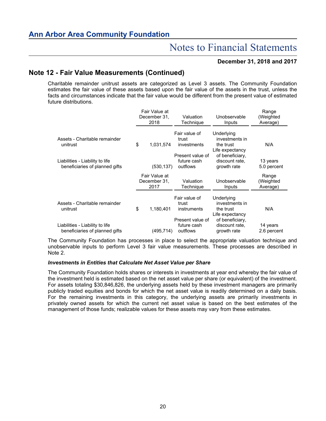#### **December 31, 2018 and 2017**

# **Note 12 - Fair Value Measurements (Continued)**

Charitable remainder unitrust assets are categorized as Level 3 assets. The Community Foundation estimates the fair value of these assets based upon the fair value of the assets in the trust, unless the facts and circumstances indicate that the fair value would be different from the present value of estimated future distributions.

|                                                                   |           | Fair Value at<br>December 31,<br>2018 | Valuation<br>Technique                                    | Unobservable<br>Inputs                                                          | Range<br>(Weighted<br>Average) |
|-------------------------------------------------------------------|-----------|---------------------------------------|-----------------------------------------------------------|---------------------------------------------------------------------------------|--------------------------------|
| Assets - Charitable remainder<br>unitrust                         | \$        | 1,031,574                             | Fair value of<br>trust<br>investments<br>Present value of | Underlying<br>investments in<br>the trust<br>Life expectancy<br>of beneficiary, | N/A                            |
| Liabilities - Liability to life<br>beneficiaries of planned gifts |           | (530,137)                             | future cash<br>outflows                                   | discount rate,<br>growth rate                                                   | 13 years<br>5.0 percent        |
|                                                                   |           | Fair Value at<br>December 31,<br>2017 | Valuation<br>Technique                                    | Unobservable<br>Inputs                                                          | Range<br>(Weighted<br>Average) |
| Assets - Charitable remainder<br>unitrust                         | \$        | 1,180,401                             | Fair value of<br>trust<br>instruments                     | Underlying<br>investments in<br>the trust<br>Life expectancy                    | N/A                            |
| Liabilities - Liability to life<br>beneficiaries of planned gifts | (495,714) |                                       | Present value of<br>future cash<br>outflows               | of beneficiary,<br>discount rate,<br>growth rate                                | 14 years<br>2.6 percent        |

The Community Foundation has processes in place to select the appropriate valuation technique and unobservable inputs to perform Level 3 fair value measurements. These processes are described in Note 2.

#### *Investments in Entities that Calculate Net Asset Value per Share*

The Community Foundation holds shares or interests in investments at year end whereby the fair value of the investment held is estimated based on the net asset value per share (or equivalent) of the investment. For assets totaling \$30,846,826, the underlying assets held by these investment managers are primarily publicly traded equities and bonds for which the net asset value is readily determined on a daily basis. For the remaining investments in this category, the underlying assets are primarily investments in privately owned assets for which the current net asset value is based on the best estimates of the management of those funds; realizable values for these assets may vary from these estimates.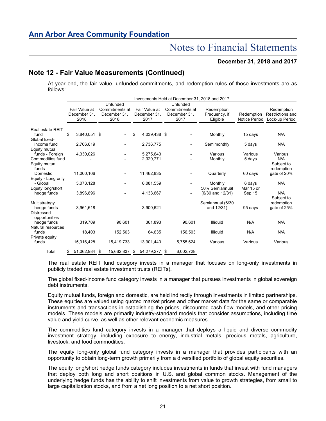**December 31, 2018 and 2017**

# **Note 12 - Fair Value Measurements (Continued)**

At year end, the fair value, unfunded commitments, and redemption rules of those investments are as follows:

|                                   |                                       |                                        |                                       |     | Investments Held at December 31, 2018 and 2017 |                                         |                             |                                                         |
|-----------------------------------|---------------------------------------|----------------------------------------|---------------------------------------|-----|------------------------------------------------|-----------------------------------------|-----------------------------|---------------------------------------------------------|
|                                   |                                       | Unfunded                               |                                       |     | Unfunded                                       |                                         |                             |                                                         |
|                                   | Fair Value at<br>December 31,<br>2018 | Commitments at<br>December 31,<br>2018 | Fair Value at<br>December 31,<br>2017 |     | Commitments at<br>December 31,<br>2017         | Redemption<br>Frequency, if<br>Eligible | Redemption<br>Notice Period | Redemption<br><b>Restrictions and</b><br>Lock-up Period |
| <b>Real estate REIT</b>           |                                       |                                        |                                       |     |                                                |                                         |                             |                                                         |
| fund                              | \$<br>3,840,051 \$                    |                                        | \$<br>4,039,438 \$                    |     |                                                | Monthly                                 | 15 days                     | N/A                                                     |
| Global fixed-                     |                                       |                                        |                                       |     |                                                |                                         |                             |                                                         |
| income fund                       | 2,706,619                             |                                        | 2,736,775                             |     |                                                | Semimonthly                             | 5 days                      | N/A                                                     |
| Equity mutual                     |                                       |                                        |                                       |     |                                                |                                         |                             |                                                         |
| funds - Foreign                   | 4,330,026                             |                                        | 5,275,643                             |     |                                                | Various                                 | Various                     | Various                                                 |
| Commodities fund<br>Equity mutual |                                       |                                        | 2,320,771                             |     |                                                | Monthly                                 | 5 days                      | N/A<br>Subject to                                       |
| funds -                           |                                       |                                        |                                       |     |                                                |                                         |                             | redemption                                              |
| Domestic                          | 11,000,106                            |                                        | 11,462,835                            |     |                                                | Quarterly                               | 60 days                     | qate of 20%                                             |
| Equity - Long only                |                                       |                                        |                                       |     |                                                |                                         |                             |                                                         |
| - Global                          | 5,073,128                             |                                        | 6,081,559                             |     |                                                | Monthly                                 | 6 days                      | N/A                                                     |
| Equity long/short                 |                                       |                                        |                                       |     |                                                | 50% Semiannual                          | Mar 15 or                   | N/A                                                     |
| hedge funds                       | 3,896,896                             |                                        | 4,133,667                             |     |                                                | (6/30 and 12/31)                        | Sep 15                      |                                                         |
| Multistrategy                     |                                       |                                        |                                       |     |                                                | Semiannual (6/30                        |                             | Subject to<br>redemption                                |
| hedge funds                       | 3,961,618                             |                                        | 3,900,621                             |     |                                                | and 12/31)                              | 95 days                     | qate of 25%                                             |
| Distressed<br>opportunities       |                                       |                                        |                                       |     |                                                |                                         |                             |                                                         |
| hedge funds                       | 319,709                               | 90,601                                 | 361,893                               |     | 90.601                                         | Illiquid                                | N/A                         | N/A                                                     |
| Natural resources<br>funds        | 18,403                                | 152,503                                | 64,635                                |     | 156,503                                        | <b>Illiquid</b>                         | N/A                         | N/A                                                     |
| Private equity<br>funds           | 15,916,428                            | 15,419,733                             | 13,901,440                            |     | 5,755,624                                      | Various                                 | Various                     | Various                                                 |
| Total                             | \$<br>51,062,984 \$                   | 15,662,837                             | \$<br>54,279,277                      | -\$ | 6.002.728                                      |                                         |                             |                                                         |

The real estate REIT fund category invests in a manager that focuses on long-only investments in publicly traded real estate investment trusts (REITs).

The global fixed-income fund category invests in a manager that pursues investments in global sovereign debt instruments.

Equity mutual funds, foreign and domestic, are held indirectly through investments in limited partnerships. These equities are valued using quoted market prices and other market data for the same or comparable instruments and transactions in establishing the prices, discounted cash flow models, and other pricing models. These models are primarily industry-standard models that consider assumptions, including time value and yield curve, as well as other relevant economic measures.

The commodities fund category invests in a manager that deploys a liquid and diverse commodity investment strategy, including exposure to energy, industrial metals, precious metals, agriculture, livestock, and food commodities.

The equity long-only global fund category invests in a manager that provides participants with an opportunity to obtain long-term growth primarily from a diversified portfolio of global equity securities.

The equity long/short hedge funds category includes investments in funds that invest with fund managers that deploy both long and short positions in U.S. and global common stocks. Management of the underlying hedge funds has the ability to shift investments from value to growth strategies, from small to large capitalization stocks, and from a net long position to a net short position.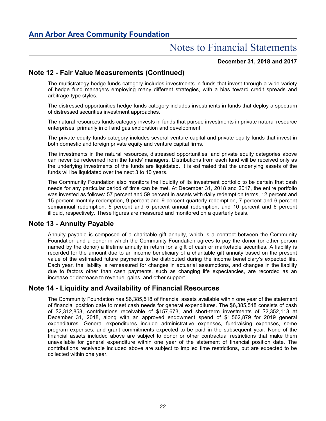#### **December 31, 2018 and 2017**

## **Note 12 - Fair Value Measurements (Continued)**

The multistrategy hedge funds category includes investments in funds that invest through a wide variety of hedge fund managers employing many different strategies, with a bias toward credit spreads and arbitrage-type styles.

The distressed opportunities hedge funds category includes investments in funds that deploy a spectrum of distressed securities investment approaches.

The natural resources funds category invests in funds that pursue investments in private natural resource enterprises, primarily in oil and gas exploration and development.

The private equity funds category includes several venture capital and private equity funds that invest in both domestic and foreign private equity and venture capital firms.

The investments in the natural resources, distressed opportunities, and private equity categories above can never be redeemed from the funds' managers. Distributions from each fund will be received only as the underlying investments of the funds are liquidated. It is estimated that the underlying assets of the funds will be liquidated over the next 3 to 10 years.

The Community Foundation also monitors the liquidity of its investment portfolio to be certain that cash needs for any particular period of time can be met. At December 31, 2018 and 2017, the entire portfolio was invested as follows: 57 percent and 59 percent in assets with daily redemption terms, 12 percent and 15 percent monthly redemption, 9 percent and 9 percent quarterly redemption, 7 percent and 6 percent semiannual redemption, 5 percent and 5 percent annual redemption, and 10 percent and 6 percent illiquid, respectively. These figures are measured and monitored on a quarterly basis.

### **Note 13 - Annuity Payable**

Annuity payable is composed of a charitable gift annuity, which is a contract between the Community Foundation and a donor in which the Community Foundation agrees to pay the donor (or other person named by the donor) a lifetime annuity in return for a gift of cash or marketable securities. A liability is recorded for the amount due to an income beneficiary of a charitable gift annuity based on the present value of the estimated future payments to be distributed during the income beneficiary's expected life. Each year, the liability is remeasured for changes in actuarial assumptions, and changes in the liability due to factors other than cash payments, such as changing life expectancies, are recorded as an increase or decrease to revenue, gains, and other support.

### **Note 14 - Liquidity and Availability of Financial Resources**

The Community Foundation has \$6,385,518 of financial assets available within one year of the statement of financial position date to meet cash needs for general expenditures. The \$6,385,518 consists of cash of \$2,312,853, contributions receivable of \$157,673, and short-term investments of \$2,352,113 at December 31, 2018, along with an approved endowment spend of \$1,562,879 for 2019 general expenditures. General expenditures include administrative expenses, fundraising expenses, some program expenses, and grant commitments expected to be paid in the subsequent year. None of the financial assets included above are subject to donor or other contractual restrictions that make them unavailable for general expenditure within one year of the statement of financial position date. The contributions receivable included above are subject to implied time restrictions, but are expected to be collected within one year.